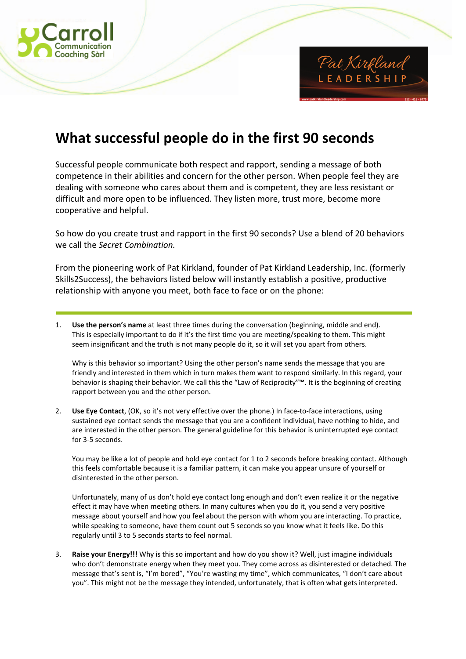



## **What successful people do in the first 90 seconds**

Successful people communicate both respect and rapport, sending a message of both competence in their abilities and concern for the other person. When people feel they are dealing with someone who cares about them and is competent, they are less resistant or difficult and more open to be influenced. They listen more, trust more, become more cooperative and helpful.

So how do you create trust and rapport in the first 90 seconds? Use a blend of 20 behaviors we call the *Secret Combination.* 

From the pioneering work of Pat Kirkland, founder of Pat Kirkland Leadership, Inc. (formerly Skills2Success), the behaviors listed below will instantly establish a positive, productive relationship with anyone you meet, both face to face or on the phone:

1. **Use the person's name** at least three times during the conversation (beginning, middle and end). This is especially important to do if it's the first time you are meeting/speaking to them. This might seem insignificant and the truth is not many people do it, so it will set you apart from others.

Why is this behavior so important? Using the other person's name sends the message that you are friendly and interested in them which in turn makes them want to respond similarly. In this regard, your behavior is shaping their behavior. We call this the "Law of Reciprocity"™. It is the beginning of creating rapport between you and the other person.

2. **Use Eye Contact**, (OK, so it's not very effective over the phone.) In face-to-face interactions, using sustained eye contact sends the message that you are a confident individual, have nothing to hide, and are interested in the other person. The general guideline for this behavior is uninterrupted eye contact for 3-5 seconds.

You may be like a lot of people and hold eye contact for 1 to 2 seconds before breaking contact. Although this feels comfortable because it is a familiar pattern, it can make you appear unsure of yourself or disinterested in the other person.

Unfortunately, many of us don't hold eye contact long enough and don't even realize it or the negative effect it may have when meeting others. In many cultures when you do it, you send a very positive message about yourself and how you feel about the person with whom you are interacting. To practice, while speaking to someone, have them count out 5 seconds so you know what it feels like. Do this regularly until 3 to 5 seconds starts to feel normal.

3. **Raise your Energy!!!** Why is this so important and how do you show it? Well, just imagine individuals who don't demonstrate energy when they meet you. They come across as disinterested or detached. The message that's sent is, "I'm bored", "You're wasting my time", which communicates, "I don't care about you". This might not be the message they intended, unfortunately, that is often what gets interpreted.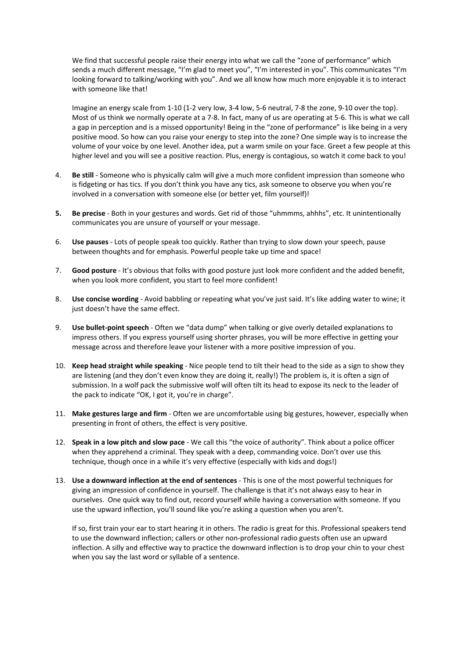We find that successful people raise their energy into what we call the "zone of performance" which sends a much different message, "I'm glad to meet you", "I'm interested in you". This communicates "I'm looking forward to talking/working with you". And we all know how much more enjoyable it is to interact with someone like that!

Imagine an energy scale from 1-10 (1-2 very low, 3-4 low, 5-6 neutral, 7-8 the zone, 9-10 over the top). Most of us think we normally operate at a 7-8. In fact, many of us are operating at 5-6. This is what we call a gap in perception and is a missed opportunity! Being in the "zone of performance" is like being in a very positive mood. So how can you raise your energy to step into the zone? One simple way is to increase the volume of your voice by one level. Another idea, put a warm smile on your face. Greet a few people at this higher level and you will see a positive reaction. Plus, energy is contagious, so watch it come back to you!

- 4. **Be still**  Someone who is physically calm will give a much more confident impression than someone who is fidgeting or has tics. If you don't think you have any tics, ask someone to observe you when you're involved in a conversation with someone else (or better yet, film yourself)!
- **5. Be precise**  Both in your gestures and words. Get rid of those "uhmmms, ahhhs", etc. It unintentionally communicates you are unsure of yourself or your message.
- 6. **Use pauses** Lots of people speak too quickly. Rather than trying to slow down your speech, pause between thoughts and for emphasis. Powerful people take up time and space!
- 7. **Good posture** It's obvious that folks with good posture just look more confident and the added benefit, when you look more confident, you start to feel more confident!
- 8. **Use concise wording** Avoid babbling or repeating what you've just said. It's like adding water to wine; it just doesn't have the same effect.
- 9. **Use bullet-point speech** Often we "data dump" when talking or give overly detailed explanations to impress others. If you express yourself using shorter phrases, you will be more effective in getting your message across and therefore leave your listener with a more positive impression of you.
- 10. **Keep head straight while speaking** Nice people tend to tilt their head to the side as a sign to show they are listening (and they don't even know they are doing it, really!) The problem is, it is often a sign of submission. In a wolf pack the submissive wolf will often tilt its head to expose its neck to the leader of the pack to indicate "OK, I got it, you're in charge".
- 11. **Make gestures large and firm** Often we are uncomfortable using big gestures, however, especially when presenting in front of others, the effect is very positive.
- 12. **Speak in a low pitch and slow pace** We call this "the voice of authority". Think about a police officer when they apprehend a criminal. They speak with a deep, commanding voice. Don't over use this technique, though once in a while it's very effective (especially with kids and dogs!)
- 13. **Use a downward inflection at the end of sentences** This is one of the most powerful techniques for giving an impression of confidence in yourself. The challenge is that it's not always easy to hear in ourselves. One quick way to find out, record yourself while having a conversation with someone. If you use the upward inflection, you'll sound like you're asking a question when you aren't.

If so, first train your ear to start hearing it in others. The radio is great for this. Professional speakers tend to use the downward inflection; callers or other non-professional radio guests often use an upward inflection. A silly and effective way to practice the downward inflection is to drop your chin to your chest when you say the last word or syllable of a sentence.